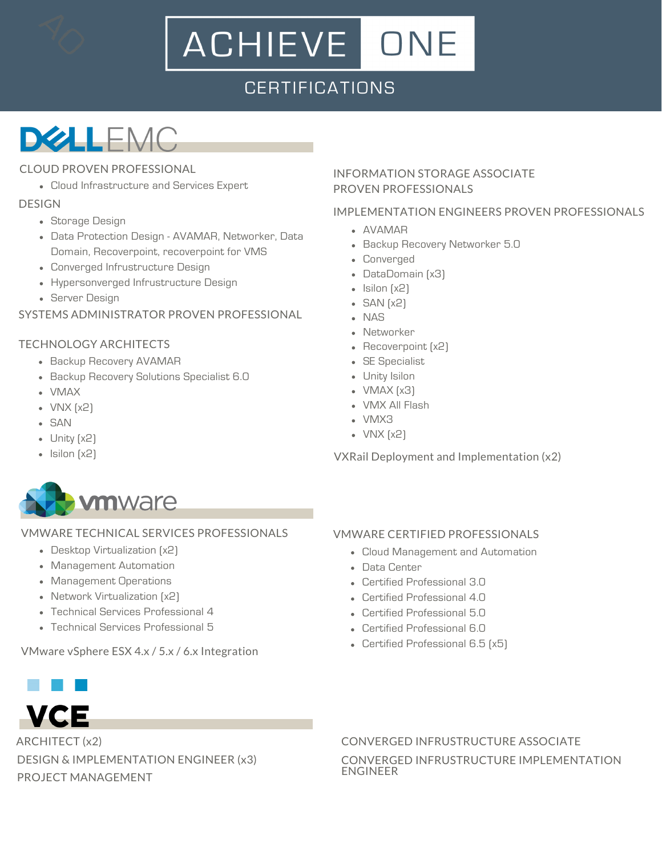# ACHIEVE ONE

### **CERTIFICATIONS**

## **DELEMC**

### CLOUD PROVEN PROFESSIONAL

Cloud Infrastructure and Services Expert

### DESIGN

- Storage Design
- Data Protection Design AVAMAR, Networker, Data Domain, Recoverpoint, recoverpoint for VMS
- Converged Infrustructure Design
- Hypersonverged Infrustructure Design
- Server Design

### SYSTEMS ADMINISTRATOR PROVEN PROFESSIONAL

### TECHNOLOGY ARCHITECTS

- Backup Recovery AVAMAR
- **Backup Recovery Solutions Specialist 6.0**
- VMAX
- VNX (x2)
- SAN
- Unity (x2)
- Isilon (x2)

### INFORMATION STORAGE ASSOCIATE PROVEN PROFESSIONALS

### IMPLEMENTATION ENGINEERS PROVEN PROFESSIONALS

- AVAMAR
- **Backup Recovery Networker 5.0**
- Converged
- DataDomain (x3)
- $\bullet$  Isilon  $[x2]$
- $-SAN [x2]$
- NAS
- Networker
- Recoverpoint [x2]
- SE Specialist
- Unity Isilon
- VMAX (x3)
	- VMX All Flash
	- VMX3
	- VNX (x2)

VXRail Deployment and Implementation (x2)



### VMWARE TECHNICAL SERVICES PROFESSIONALS

- Desktop Virtualization (x2)
- Management Automation
- Management Operations
- Network Virtualization (x2)
- Technical Services Professional 4
- Technical Services Professional 5

VMware vSphere ESX 4.x / 5.x / 6.x Integration



ARCHITECT (x2) DESIGN & IMPLEMENTATION ENGINEER (x3)

PROJECT MANAGEMENT

### VMWARE CERTIFIED PROFESSIONALS

- Cloud Management and Automation
- Data Center
- Certified Professional 3.0
- Certified Professional 4.0
- Certified Professional 5.0
- Certified Professional 6.0
- Certified Professional 6.5 (x5)

CONVERGED INFRUSTRUCTURE ASSOCIATE CONVERGED INFRUSTRUCTURE IMPLEMENTATION ENGINEER